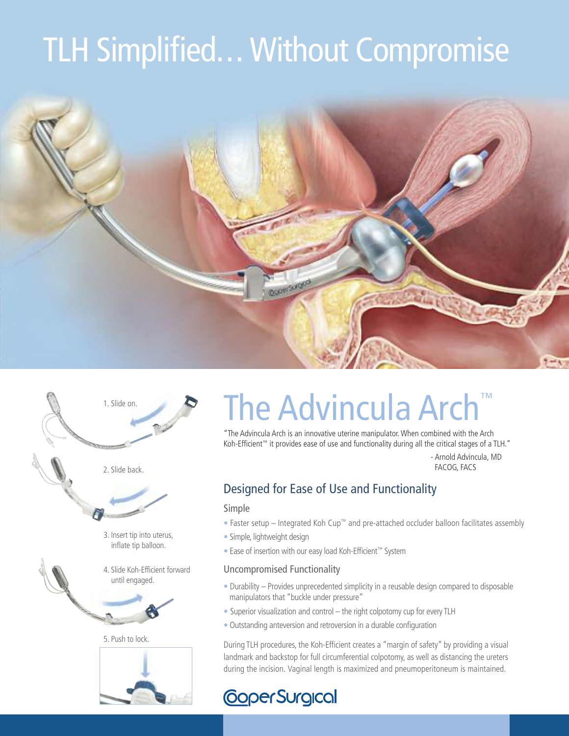# TLH Simplified... Without Compromise





### The Advincula Arch ™

"The Advincula Arch is an innovative uterine manipulator.When combined with the Arch Koh-Efficient ™ it provides ease of use and functionality during all the critical stages of a TLH."

> - Arnold Advincula, MD FACOG, FACS

### Designed for Ease of Use and Functionality

#### Simple

- Faster setup Integrated Koh Cup™ and pre-attached occluder balloon facilitates assembly
- Simple, lightweight design
- Ease of insertion with our easy load Koh-Efficient ™ System

#### Uncompromised Functionality

- Durability Provides unprecedented simplicity in a reusable design compared to disposable manipulators that "buckle under pressure"
- Superior visualization and control the right colpotomy cup for every TLH
- Outstanding anteversion and retroversion in a durable configuration

During TLH procedures, the Koh-Efficient creates a "margin of safety" by providing a visual landmark and backstop for full circumferential colpotomy, as well as distancing the ureters during the incision. Vaginal length is maximized and pneumoperitoneum is maintained.

### **CoperSurgical**